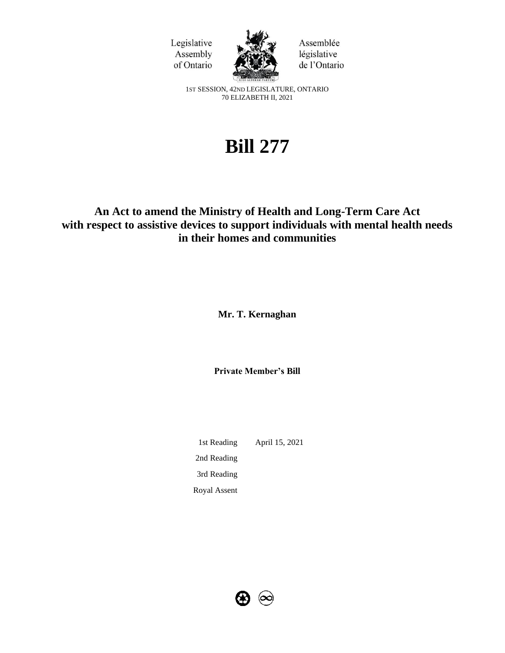



Assemblée législative de l'Ontario

1ST SESSION, 42ND LEGISLATURE, ONTARIO 70 ELIZABETH II, 2021

# **Bill 277**

# **An Act to amend the Ministry of Health and Long-Term Care Act with respect to assistive devices to support individuals with mental health needs in their homes and communities**

**Mr. T. Kernaghan** 

**Private Member's Bill**

1st Reading April 15, 2021 2nd Reading 3rd Reading Royal Assent